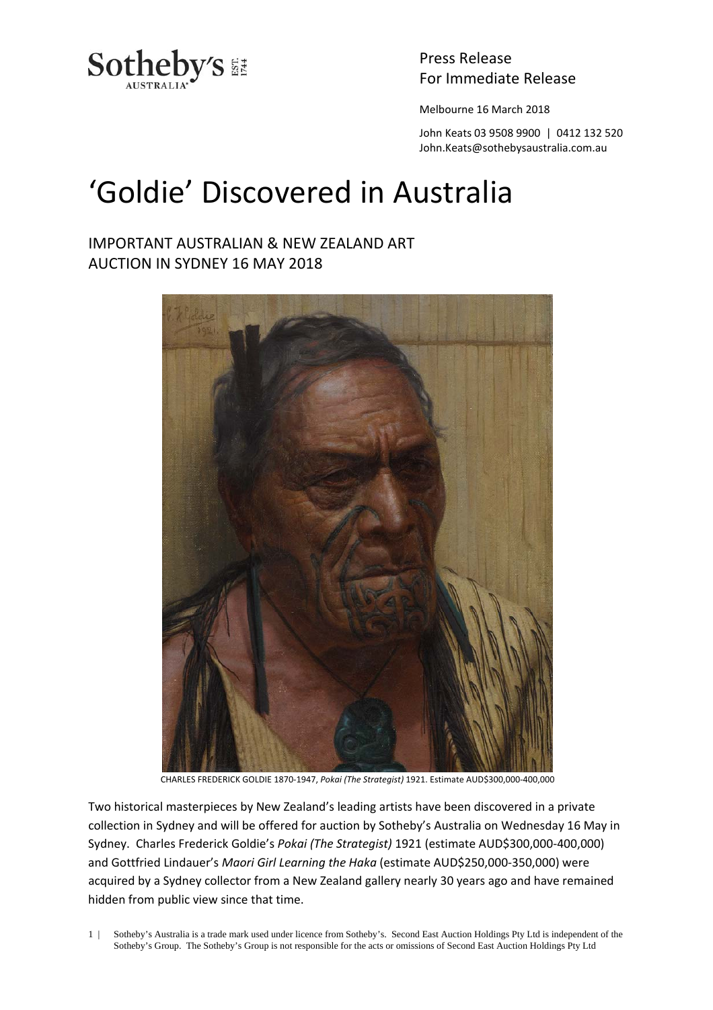

Press Release

Melbourne 16 March 2018

John Keats 03 9508 9900 | 0412 132 520 John.Keats@sothebysaustralia.com.au

## 'Goldie' Discovered in Australia

## IMPORTANT AUSTRALIAN & NEW ZEALAND ART AUCTION IN SYDNEY 16 MAY 2018



CHARLES FREDERICK GOLDIE 1870‐1947, *Pokai (The Strategist)* 1921. Estimate AUD\$300,000‐400,000

Two historical masterpieces by New Zealand's leading artists have been discovered in a private collection in Sydney and will be offered for auction by Sotheby's Australia on Wednesday 16 May in Sydney. Charles Frederick Goldie's *Pokai (The Strategist)* 1921 (estimate AUD\$300,000‐400,000) and Gottfried Lindauer's *Maori Girl Learning the Haka* (estimate AUD\$250,000‐350,000) were acquired by a Sydney collector from a New Zealand gallery nearly 30 years ago and have remained hidden from public view since that time.

1 | Sotheby's Australia is a trade mark used under licence from Sotheby's. Second East Auction Holdings Pty Ltd is independent of the Sotheby's Group. The Sotheby's Group is not responsible for the acts or omissions of Second East Auction Holdings Pty Ltd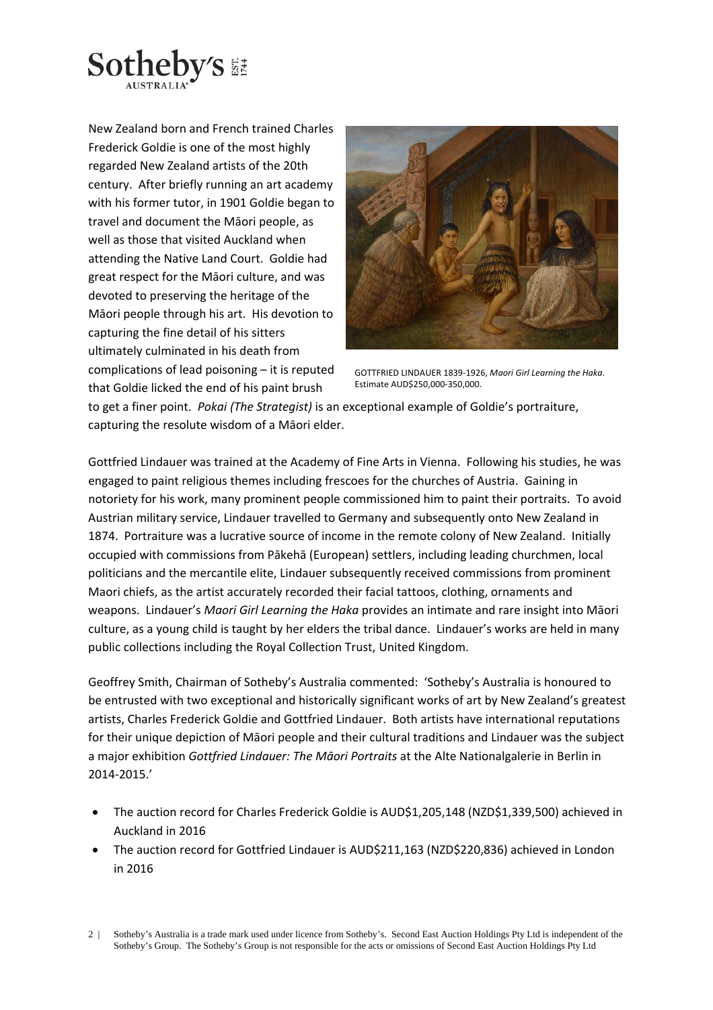

New Zealand born and French trained Charles Frederick Goldie is one of the most highly regarded New Zealand artists of the 20th century. After briefly running an art academy with his former tutor, in 1901 Goldie began to travel and document the Māori people, as well as those that visited Auckland when attending the Native Land Court. Goldie had great respect for the Māori culture, and was devoted to preserving the heritage of the Māori people through his art. His devotion to capturing the fine detail of his sitters ultimately culminated in his death from complications of lead poisoning – it is reputed that Goldie licked the end of his paint brush



GOTTFRIED LINDAUER 1839‐1926, *Maori Girl Learning the Haka*. Estimate AUD\$250,000‐350,000.

to get a finer point. *Pokai (The Strategist)* is an exceptional example of Goldie's portraiture, capturing the resolute wisdom of a Māori elder.

Gottfried Lindauer was trained at the Academy of Fine Arts in Vienna. Following his studies, he was engaged to paint religious themes including frescoes for the churches of Austria. Gaining in notoriety for his work, many prominent people commissioned him to paint their portraits. To avoid Austrian military service, Lindauer travelled to Germany and subsequently onto New Zealand in 1874. Portraiture was a lucrative source of income in the remote colony of New Zealand. Initially occupied with commissions from Pākehā (European) settlers, including leading churchmen, local politicians and the mercantile elite, Lindauer subsequently received commissions from prominent Maori chiefs, as the artist accurately recorded their facial tattoos, clothing, ornaments and weapons. Lindauer's *Maori Girl Learning the Haka* provides an intimate and rare insight into Māori culture, as a young child is taught by her elders the tribal dance. Lindauer's works are held in many public collections including the Royal Collection Trust, United Kingdom.

Geoffrey Smith, Chairman of Sotheby's Australia commented: 'Sotheby's Australia is honoured to be entrusted with two exceptional and historically significant works of art by New Zealand's greatest artists, Charles Frederick Goldie and Gottfried Lindauer. Both artists have international reputations for their unique depiction of Māori people and their cultural traditions and Lindauer was the subject a major exhibition *Gottfried Lindauer: The Māori Portraits* at the Alte Nationalgalerie in Berlin in 2014‐2015.'

- The auction record for Charles Frederick Goldie is AUD\$1,205,148 (NZD\$1,339,500) achieved in Auckland in 2016
- The auction record for Gottfried Lindauer is AUD\$211,163 (NZD\$220,836) achieved in London in 2016

<sup>2 |</sup> Sotheby's Australia is a trade mark used under licence from Sotheby's. Second East Auction Holdings Pty Ltd is independent of the Sotheby's Group. The Sotheby's Group is not responsible for the acts or omissions of Second East Auction Holdings Pty Ltd